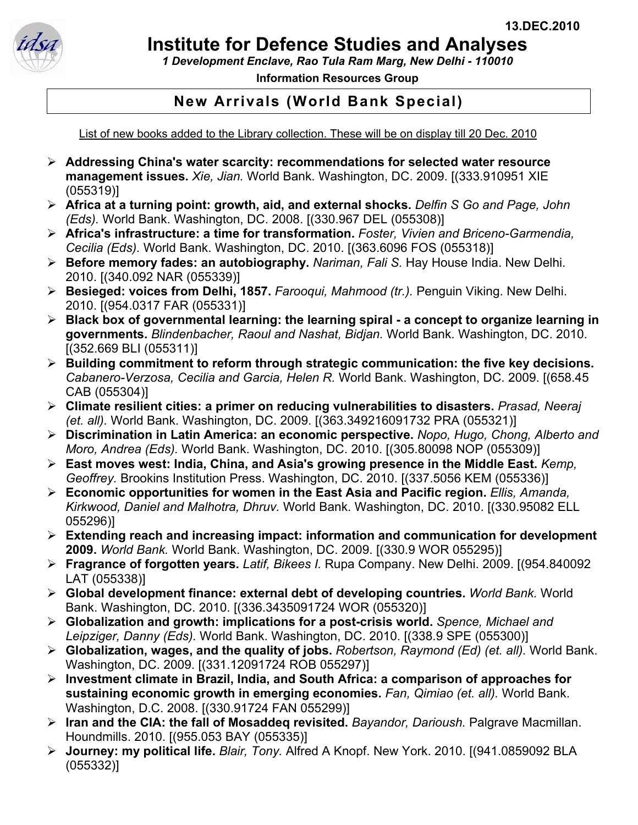

## **Institute for Defence Studies and Analyses**

*1 Development Enclave, Rao Tula Ram Marg, New Delhi - 110010*

**Information Resources Group** 

## **New Arrivals (World Bank Special)**

List of new books added to the Library collection. These will be on display till 20 Dec. 2010

- ¾ **Addressing China's water scarcity: recommendations for selected water resource management issues.** *Xie, Jian.* World Bank. Washington, DC. 2009. [(333.910951 XIE (055319)]
- ¾ **Africa at a turning point: growth, aid, and external shocks.** *Delfin S Go and Page, John (Eds).* World Bank. Washington, DC. 2008. [(330.967 DEL (055308)]
- ¾ **Africa's infrastructure: a time for transformation.** *Foster, Vivien and Briceno-Garmendia, Cecilia (Eds).* World Bank. Washington, DC. 2010. [(363.6096 FOS (055318)]
- ¾ **Before memory fades: an autobiography.** *Nariman, Fali S.* Hay House India. New Delhi. 2010. [(340.092 NAR (055339)]
- ¾ **Besieged: voices from Delhi, 1857.** *Farooqui, Mahmood (tr.).* Penguin Viking. New Delhi. 2010. [(954.0317 FAR (055331)]
- ¾ **Black box of governmental learning: the learning spiral a concept to organize learning in governments.** *Blindenbacher, Raoul and Nashat, Bidjan.* World Bank. Washington, DC. 2010. [(352.669 BLI (055311)]
- ¾ **Building commitment to reform through strategic communication: the five key decisions.**  *Cabanero-Verzosa, Cecilia and Garcia, Helen R.* World Bank. Washington, DC. 2009. [(658.45 CAB (055304)]
- ¾ **Climate resilient cities: a primer on reducing vulnerabilities to disasters.** *Prasad, Neeraj (et. all).* World Bank. Washington, DC. 2009. [(363.349216091732 PRA (055321)]
- ¾ **Discrimination in Latin America: an economic perspective.** *Nopo, Hugo, Chong, Alberto and Moro, Andrea (Eds).* World Bank. Washington, DC. 2010. [(305.80098 NOP (055309)]
- ¾ **East moves west: India, China, and Asia's growing presence in the Middle East.** *Kemp, Geoffrey.* Brookins Institution Press. Washington, DC. 2010. [(337.5056 KEM (055336)]
- ¾ **Economic opportunities for women in the East Asia and Pacific region.** *Ellis, Amanda, Kirkwood, Daniel and Malhotra, Dhruv.* World Bank. Washington, DC. 2010. [(330.95082 ELL 055296)]
- ¾ **Extending reach and increasing impact: information and communication for development 2009.** *World Bank.* World Bank. Washington, DC. 2009. [(330.9 WOR 055295)]
- ¾ **Fragrance of forgotten years.** *Latif, Bikees I.* Rupa Company. New Delhi. 2009. [(954.840092 LAT (055338)]
- ¾ **Global development finance: external debt of developing countries.** *World Bank.* World Bank. Washington, DC. 2010. [(336.3435091724 WOR (055320)]
- ¾ **Globalization and growth: implications for a post-crisis world.** *Spence, Michael and Leipziger, Danny (Eds).* World Bank. Washington, DC. 2010. [(338.9 SPE (055300)]
- ¾ **Globalization, wages, and the quality of jobs.** *Robertson, Raymond (Ed) (et. all).* World Bank. Washington, DC. 2009. [(331.12091724 ROB 055297)]
- ¾ **Investment climate in Brazil, India, and South Africa: a comparison of approaches for sustaining economic growth in emerging economies.** *Fan, Qimiao (et. all).* World Bank. Washington, D.C. 2008. [(330.91724 FAN 055299)]
- ¾ **Iran and the CIA: the fall of Mosaddeq revisited.** *Bayandor, Darioush.* Palgrave Macmillan. Houndmills. 2010. [(955.053 BAY (055335)]
- ¾ **Journey: my political life.** *Blair, Tony.* Alfred A Knopf. New York. 2010. [(941.0859092 BLA (055332)]